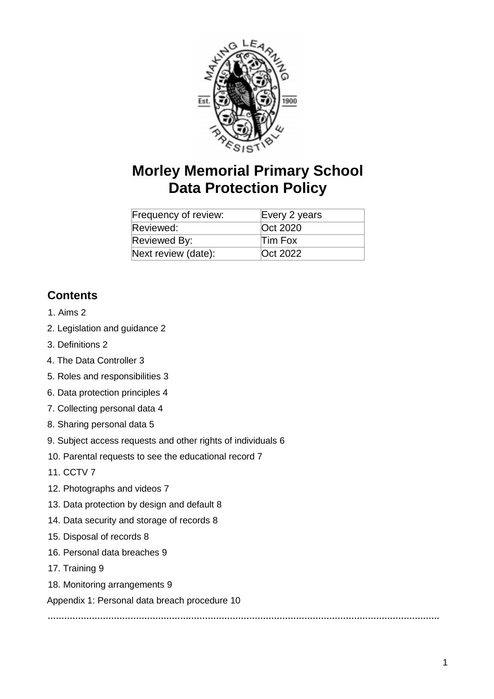

# **Morley Memorial Primary School Data Protection Policy**

| Frequency of review: | Every 2 years |
|----------------------|---------------|
| Reviewed:            | Oct 2020      |
| Reviewed By:         | Tim Fox       |
| Next review (date):  | Oct 2022      |

# **Contents**

### 1. Aims 2

- 2. Legislation and guidance 2
- 3. Definitions 2
- 4. The Data Controller 3
- 5. Roles and responsibilities 3
- 6. Data protection principles 4
- 7. Collecting personal data 4
- 8. Sharing personal data 5
- 9. Subject access requests and other rights of individuals 6
- 10. Parental requests to see the educational record 7
- 11. CCTV 7
- 12. Photographs and videos 7
- 13. Data protection by design and default 8
- 14. Data security and storage of records 8
- 15. Disposal of records 8
- 16. Personal data breaches 9
- 17. Training 9
- 18. Monitoring arrangements 9

Appendix 1: Personal data breach procedure 10

**…………………………………………………………………………………………………………………………….**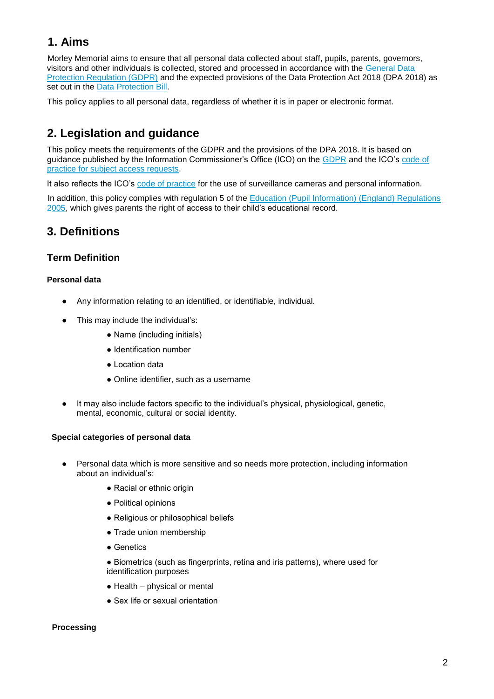# **1. Aims**

Morley Memorial aims to ensure that all personal data collected about staff, pupils, parents, governors, visitors and other individuals is collected, stored and processed in accordance with the General Data Protection Regulation (GDPR) and the expected provisions of the Data Protection Act 2018 (DPA 2018) as set out in the **Data Protection Bill**.

This policy applies to all personal data, regardless of whether it is in paper or electronic format.

# **2. Legislation and guidance**

This policy meets the requirements of the GDPR and the provisions of the DPA 2018. It is based on guidance published by the Information Commissioner's Office (ICO) on the GDPR and the ICO's code of practice for subject access requests.

It also reflects the ICO's code of practice for the use of surveillance cameras and personal information.

In addition, this policy complies with regulation 5 of the Education (Pupil Information) (England) Regulations 2005, which gives parents the right of access to their child's educational record.

### **3. Definitions**

### **Term Definition**

### **Personal data**

- Any information relating to an identified, or identifiable, individual.
- This may include the individual's:
	- Name (including initials)
	- Identification number
	- Location data
	- Online identifier, such as a username
- It may also include factors specific to the individual's physical, physiological, genetic, mental, economic, cultural or social identity.

#### **Special categories of personal data**

- Personal data which is more sensitive and so needs more protection, including information about an individual's:
	- Racial or ethnic origin
	- Political opinions
	- Religious or philosophical beliefs
	- Trade union membership
	- Genetics
	- Biometrics (such as fingerprints, retina and iris patterns), where used for identification purposes
	- Health physical or mental
	- Sex life or sexual orientation

#### **Processing**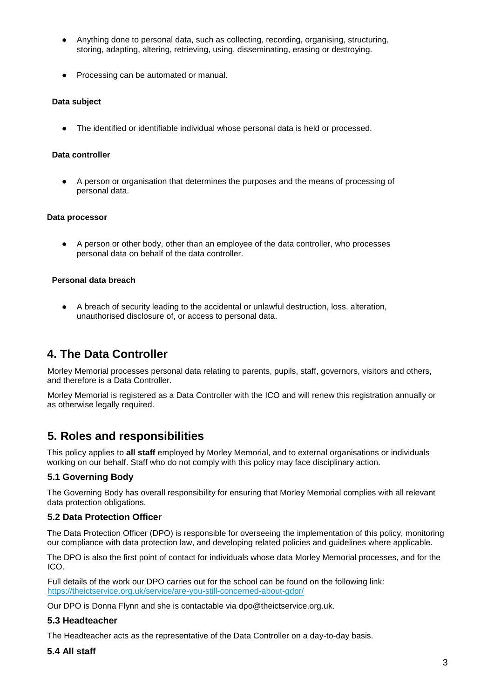- Anything done to personal data, such as collecting, recording, organising, structuring, storing, adapting, altering, retrieving, using, disseminating, erasing or destroying.
- Processing can be automated or manual.

#### **Data subject**

The identified or identifiable individual whose personal data is held or processed.

#### **Data controller**

● A person or organisation that determines the purposes and the means of processing of personal data.

#### **Data processor**

● A person or other body, other than an employee of the data controller, who processes personal data on behalf of the data controller.

#### **Personal data breach**

● A breach of security leading to the accidental or unlawful destruction, loss, alteration, unauthorised disclosure of, or access to personal data.

# **4. The Data Controller**

Morley Memorial processes personal data relating to parents, pupils, staff, governors, visitors and others, and therefore is a Data Controller.

Morley Memorial is registered as a Data Controller with the ICO and will renew this registration annually or as otherwise legally required.

# **5. Roles and responsibilities**

This policy applies to **all staff** employed by Morley Memorial, and to external organisations or individuals working on our behalf. Staff who do not comply with this policy may face disciplinary action.

### **5.1 Governing Body**

The Governing Body has overall responsibility for ensuring that Morley Memorial complies with all relevant data protection obligations.

### **5.2 Data Protection Officer**

The Data Protection Officer (DPO) is responsible for overseeing the implementation of this policy, monitoring our compliance with data protection law, and developing related policies and guidelines where applicable.

The DPO is also the first point of contact for individuals whose data Morley Memorial processes, and for the ICO.

Full details of the work our DPO carries out for the school can be found on the following link: https://theictservice.org.uk/service/are-you-still-concerned-about-gdpr/

Our DPO is Donna Flynn and she is contactable via dpo@theictservice.org.uk.

#### **5.3 Headteacher**

The Headteacher acts as the representative of the Data Controller on a day-to-day basis.

#### **5.4 All staff**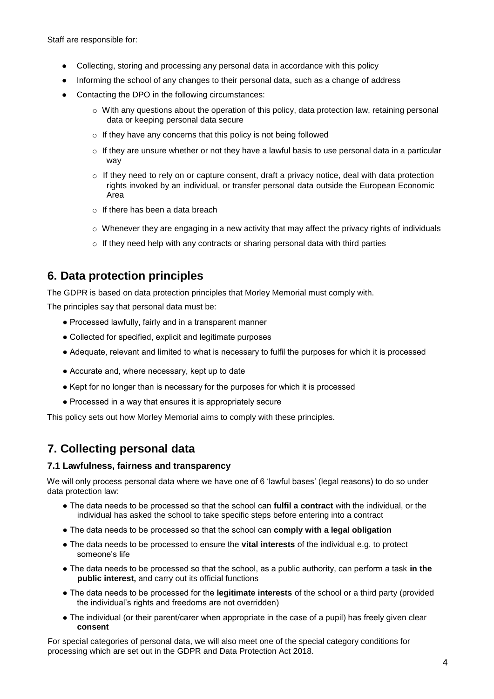Staff are responsible for:

- Collecting, storing and processing any personal data in accordance with this policy
- Informing the school of any changes to their personal data, such as a change of address
- Contacting the DPO in the following circumstances:
	- $\circ$  With any questions about the operation of this policy, data protection law, retaining personal data or keeping personal data secure
	- $\circ$  If they have any concerns that this policy is not being followed
	- $\circ$  If they are unsure whether or not they have a lawful basis to use personal data in a particular way
	- $\circ$  If they need to rely on or capture consent, draft a privacy notice, deal with data protection rights invoked by an individual, or transfer personal data outside the European Economic Area
	- o If there has been a data breach
	- $\circ$  Whenever they are engaging in a new activity that may affect the privacy rights of individuals
	- o If they need help with any contracts or sharing personal data with third parties

### **6. Data protection principles**

The GDPR is based on data protection principles that Morley Memorial must comply with.

The principles say that personal data must be:

- Processed lawfully, fairly and in a transparent manner
- Collected for specified, explicit and legitimate purposes
- Adequate, relevant and limited to what is necessary to fulfil the purposes for which it is processed
- Accurate and, where necessary, kept up to date
- Kept for no longer than is necessary for the purposes for which it is processed
- Processed in a way that ensures it is appropriately secure

This policy sets out how Morley Memorial aims to comply with these principles.

# **7. Collecting personal data**

#### **7.1 Lawfulness, fairness and transparency**

We will only process personal data where we have one of 6 'lawful bases' (legal reasons) to do so under data protection law:

- The data needs to be processed so that the school can **fulfil a contract** with the individual, or the individual has asked the school to take specific steps before entering into a contract
- The data needs to be processed so that the school can **comply with a legal obligation**
- The data needs to be processed to ensure the **vital interests** of the individual e.g. to protect someone's life
- The data needs to be processed so that the school, as a public authority, can perform a task **in the public interest,** and carry out its official functions
- The data needs to be processed for the **legitimate interests** of the school or a third party (provided the individual's rights and freedoms are not overridden)
- The individual (or their parent/carer when appropriate in the case of a pupil) has freely given clear **consent**

For special categories of personal data, we will also meet one of the special category conditions for processing which are set out in the GDPR and Data Protection Act 2018.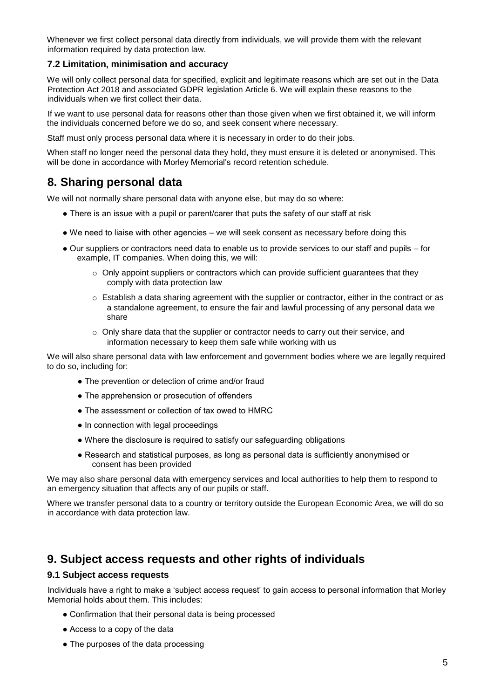Whenever we first collect personal data directly from individuals, we will provide them with the relevant information required by data protection law.

### **7.2 Limitation, minimisation and accuracy**

We will only collect personal data for specified, explicit and legitimate reasons which are set out in the Data Protection Act 2018 and associated GDPR legislation Article 6. We will explain these reasons to the individuals when we first collect their data.

If we want to use personal data for reasons other than those given when we first obtained it, we will inform the individuals concerned before we do so, and seek consent where necessary.

Staff must only process personal data where it is necessary in order to do their jobs.

When staff no longer need the personal data they hold, they must ensure it is deleted or anonymised. This will be done in accordance with Morley Memorial's record retention schedule.

### **8. Sharing personal data**

We will not normally share personal data with anyone else, but may do so where:

- There is an issue with a pupil or parent/carer that puts the safety of our staff at risk
- We need to liaise with other agencies we will seek consent as necessary before doing this
- Our suppliers or contractors need data to enable us to provide services to our staff and pupils for example, IT companies. When doing this, we will:
	- $\circ$  Only appoint suppliers or contractors which can provide sufficient quarantees that they comply with data protection law
	- $\circ$  Establish a data sharing agreement with the supplier or contractor, either in the contract or as a standalone agreement, to ensure the fair and lawful processing of any personal data we share
	- $\circ$  Only share data that the supplier or contractor needs to carry out their service, and information necessary to keep them safe while working with us

We will also share personal data with law enforcement and government bodies where we are legally required to do so, including for:

- The prevention or detection of crime and/or fraud
- The apprehension or prosecution of offenders
- The assessment or collection of tax owed to HMRC
- In connection with legal proceedings
- Where the disclosure is required to satisfy our safeguarding obligations
- Research and statistical purposes, as long as personal data is sufficiently anonymised or consent has been provided

We may also share personal data with emergency services and local authorities to help them to respond to an emergency situation that affects any of our pupils or staff.

Where we transfer personal data to a country or territory outside the European Economic Area, we will do so in accordance with data protection law.

### **9. Subject access requests and other rights of individuals**

#### **9.1 Subject access requests**

Individuals have a right to make a 'subject access request' to gain access to personal information that Morley Memorial holds about them. This includes:

- Confirmation that their personal data is being processed
- Access to a copy of the data
- The purposes of the data processing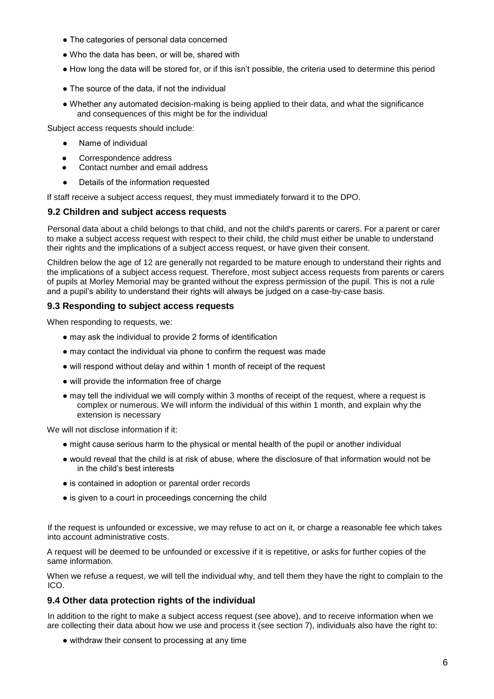- The categories of personal data concerned
- Who the data has been, or will be, shared with
- How long the data will be stored for, or if this isn't possible, the criteria used to determine this period
- The source of the data, if not the individual
- Whether any automated decision-making is being applied to their data, and what the significance and consequences of this might be for the individual

Subject access requests should include:

- Name of individual
- Correspondence address
- Contact number and email address
- Details of the information requested

If staff receive a subject access request, they must immediately forward it to the DPO.

#### **9.2 Children and subject access requests**

Personal data about a child belongs to that child, and not the child's parents or carers. For a parent or carer to make a subject access request with respect to their child, the child must either be unable to understand their rights and the implications of a subject access request, or have given their consent.

Children below the age of 12 are generally not regarded to be mature enough to understand their rights and the implications of a subject access request. Therefore, most subject access requests from parents or carers of pupils at Morley Memorial may be granted without the express permission of the pupil. This is not a rule and a pupil's ability to understand their rights will always be judged on a case-by-case basis.

### **9.3 Responding to subject access requests**

When responding to requests, we:

- may ask the individual to provide 2 forms of identification
- may contact the individual via phone to confirm the request was made
- will respond without delay and within 1 month of receipt of the request
- will provide the information free of charge
- may tell the individual we will comply within 3 months of receipt of the request, where a request is complex or numerous. We will inform the individual of this within 1 month, and explain why the extension is necessary

We will not disclose information if it:

- might cause serious harm to the physical or mental health of the pupil or another individual
- would reveal that the child is at risk of abuse, where the disclosure of that information would not be in the child's best interests
- is contained in adoption or parental order records
- is given to a court in proceedings concerning the child

If the request is unfounded or excessive, we may refuse to act on it, or charge a reasonable fee which takes into account administrative costs.

A request will be deemed to be unfounded or excessive if it is repetitive, or asks for further copies of the same information.

When we refuse a request, we will tell the individual why, and tell them they have the right to complain to the ICO.

#### **9.4 Other data protection rights of the individual**

In addition to the right to make a subject access request (see above), and to receive information when we are collecting their data about how we use and process it (see section 7), individuals also have the right to:

• withdraw their consent to processing at any time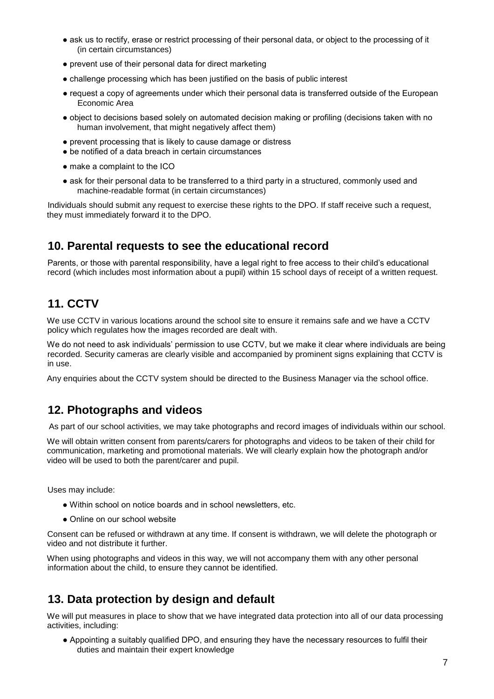- ask us to rectify, erase or restrict processing of their personal data, or object to the processing of it (in certain circumstances)
- prevent use of their personal data for direct marketing
- challenge processing which has been justified on the basis of public interest
- request a copy of agreements under which their personal data is transferred outside of the European Economic Area
- object to decisions based solely on automated decision making or profiling (decisions taken with no human involvement, that might negatively affect them)
- prevent processing that is likely to cause damage or distress
- be notified of a data breach in certain circumstances
- make a complaint to the ICO
- ask for their personal data to be transferred to a third party in a structured, commonly used and machine-readable format (in certain circumstances)

Individuals should submit any request to exercise these rights to the DPO. If staff receive such a request, they must immediately forward it to the DPO.

### **10. Parental requests to see the educational record**

Parents, or those with parental responsibility, have a legal right to free access to their child's educational record (which includes most information about a pupil) within 15 school days of receipt of a written request.

# **11. CCTV**

We use CCTV in various locations around the school site to ensure it remains safe and we have a CCTV policy which regulates how the images recorded are dealt with.

We do not need to ask individuals' permission to use CCTV, but we make it clear where individuals are being recorded. Security cameras are clearly visible and accompanied by prominent signs explaining that CCTV is in use.

Any enquiries about the CCTV system should be directed to the Business Manager via the school office.

### **12. Photographs and videos**

As part of our school activities, we may take photographs and record images of individuals within our school.

We will obtain written consent from parents/carers for photographs and videos to be taken of their child for communication, marketing and promotional materials. We will clearly explain how the photograph and/or video will be used to both the parent/carer and pupil.

Uses may include:

- Within school on notice boards and in school newsletters, etc.
- Online on our school website

Consent can be refused or withdrawn at any time. If consent is withdrawn, we will delete the photograph or video and not distribute it further.

When using photographs and videos in this way, we will not accompany them with any other personal information about the child, to ensure they cannot be identified.

# **13. Data protection by design and default**

We will put measures in place to show that we have integrated data protection into all of our data processing activities, including:

● Appointing a suitably qualified DPO, and ensuring they have the necessary resources to fulfil their duties and maintain their expert knowledge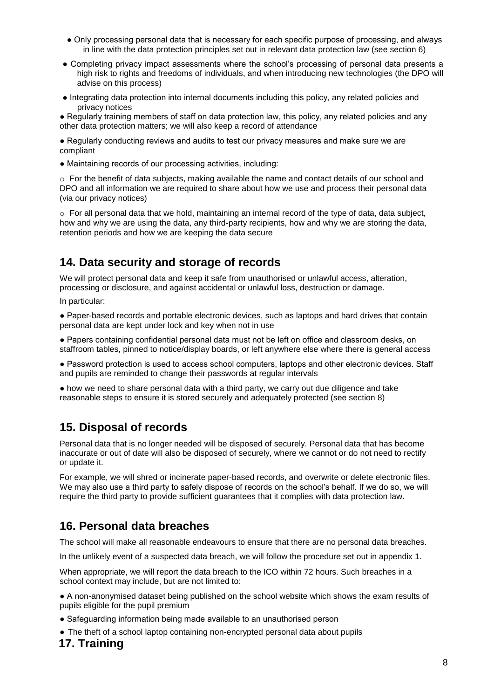- Only processing personal data that is necessary for each specific purpose of processing, and always in line with the data protection principles set out in relevant data protection law (see section 6)
- Completing privacy impact assessments where the school's processing of personal data presents a high risk to rights and freedoms of individuals, and when introducing new technologies (the DPO will advise on this process)
- Integrating data protection into internal documents including this policy, any related policies and privacy notices

● Regularly training members of staff on data protection law, this policy, any related policies and any other data protection matters; we will also keep a record of attendance

● Regularly conducting reviews and audits to test our privacy measures and make sure we are compliant

● Maintaining records of our processing activities, including:

o For the benefit of data subjects, making available the name and contact details of our school and DPO and all information we are required to share about how we use and process their personal data (via our privacy notices)

 $\circ$  For all personal data that we hold, maintaining an internal record of the type of data, data subject, how and why we are using the data, any third-party recipients, how and why we are storing the data, retention periods and how we are keeping the data secure

# **14. Data security and storage of records**

We will protect personal data and keep it safe from unauthorised or unlawful access, alteration, processing or disclosure, and against accidental or unlawful loss, destruction or damage.

In particular:

● Paper-based records and portable electronic devices, such as laptops and hard drives that contain personal data are kept under lock and key when not in use

● Papers containing confidential personal data must not be left on office and classroom desks, on staffroom tables, pinned to notice/display boards, or left anywhere else where there is general access

● Password protection is used to access school computers, laptops and other electronic devices. Staff and pupils are reminded to change their passwords at regular intervals

● how we need to share personal data with a third party, we carry out due diligence and take reasonable steps to ensure it is stored securely and adequately protected (see section 8)

# **15. Disposal of records**

Personal data that is no longer needed will be disposed of securely. Personal data that has become inaccurate or out of date will also be disposed of securely, where we cannot or do not need to rectify or update it.

For example, we will shred or incinerate paper-based records, and overwrite or delete electronic files. We may also use a third party to safely dispose of records on the school's behalf. If we do so, we will require the third party to provide sufficient guarantees that it complies with data protection law.

# **16. Personal data breaches**

The school will make all reasonable endeavours to ensure that there are no personal data breaches.

In the unlikely event of a suspected data breach, we will follow the procedure set out in appendix 1.

When appropriate, we will report the data breach to the ICO within 72 hours. Such breaches in a school context may include, but are not limited to:

● A non-anonymised dataset being published on the school website which shows the exam results of pupils eligible for the pupil premium

- Safeguarding information being made available to an unauthorised person
- The theft of a school laptop containing non-encrypted personal data about pupils

### **17. Training**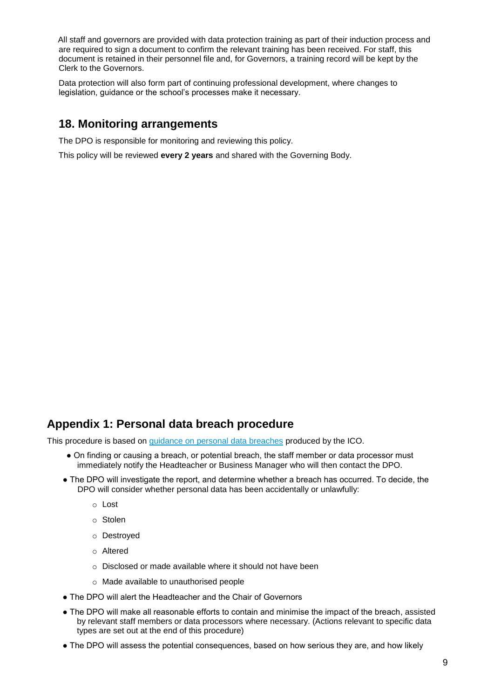All staff and governors are provided with data protection training as part of their induction process and are required to sign a document to confirm the relevant training has been received. For staff, this document is retained in their personnel file and, for Governors, a training record will be kept by the Clerk to the Governors.

Data protection will also form part of continuing professional development, where changes to legislation, guidance or the school's processes make it necessary.

### **18. Monitoring arrangements**

The DPO is responsible for monitoring and reviewing this policy.

This policy will be reviewed **every 2 years** and shared with the Governing Body.

### **Appendix 1: Personal data breach procedure**

This procedure is based on guidance on personal data breaches produced by the ICO.

- On finding or causing a breach, or potential breach, the staff member or data processor must immediately notify the Headteacher or Business Manager who will then contact the DPO.
- The DPO will investigate the report, and determine whether a breach has occurred. To decide, the DPO will consider whether personal data has been accidentally or unlawfully:
	- o Lost
	- o Stolen
	- o Destroyed
	- o Altered
	- o Disclosed or made available where it should not have been
	- o Made available to unauthorised people
- The DPO will alert the Headteacher and the Chair of Governors
- The DPO will make all reasonable efforts to contain and minimise the impact of the breach, assisted by relevant staff members or data processors where necessary. (Actions relevant to specific data types are set out at the end of this procedure)
- The DPO will assess the potential consequences, based on how serious they are, and how likely